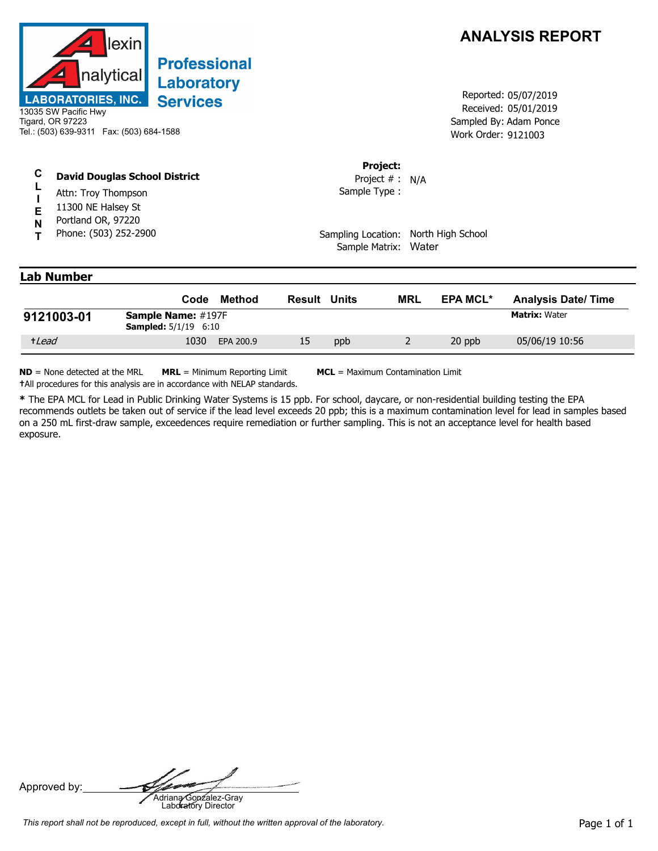

## Laboratory **Services**

13035 SW Pacific Hwy Tigard, OR 97223 Tel.: (503) 639-9311 Fax: (503) 684-1588

**David Douglas School District**

**T** Phone: (503) 252-2900 Portland OR, 97220 11300 NE Halsey St Attn: Troy Thompson

## **ANALYSIS REPORT**

Received: 05/01/2019 Work Order: 9121003 Reported: 05/07/2019 Sampled By: Adam Ponce

**Project:**

Sample Type : Project # : N/A

Sampling Location: North High School Sample Matrix: Water

## **Lab Number**

**C L I E N**

|            | Code                                                     | Method    | <b>Result Units</b> |     | MRL | <b>EPA MCL*</b> | <b>Analysis Date/Time</b> |
|------------|----------------------------------------------------------|-----------|---------------------|-----|-----|-----------------|---------------------------|
| 9121003-01 | <b>Sample Name: #197F</b><br><b>Sampled:</b> 5/1/19 6:10 |           |                     |     |     |                 | <b>Matrix: Water</b>      |
| +Lead      | 1030                                                     | EPA 200.9 | 15                  | ppb |     | 20 ppb          | 05/06/19 10:56            |

**ND** = None detected at the MRL **MRL** = Minimum Reporting Limit **MCL** = Maximum Contamination Limit **†**All procedures for this analysis are in accordance with NELAP standards.

**\*** The EPA MCL for Lead in Public Drinking Water Systems is 15 ppb. For school, daycare, or non-residential building testing the EPA recommends outlets be taken out of service if the lead level exceeds 20 ppb; this is a maximum contamination level for lead in samples based on a 250 mL first-draw sample, exceedences require remediation or further sampling. This is not an acceptance level for health based exposure.

Approved by: **Adriana Gonzalez-Gray**<br>Adriana Gonzalez-Gray<br>Laboratory Director